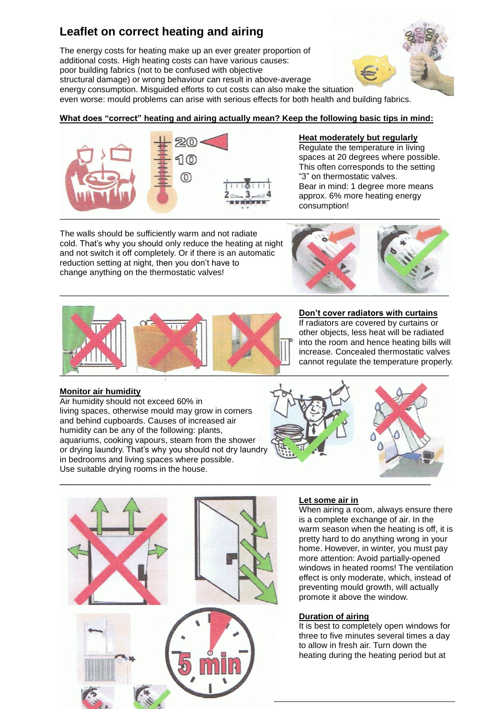# **Leaflet on correct heating and airing**

The energy costs for heating make up an ever greater proportion of additional costs. High heating costs can have various causes: poor building fabrics (not to be confused with objective structural damage) or wrong behaviour can result in above-average energy consumption. Misguided efforts to cut costs can also make the situation



even worse: mould problems can arise with serious effects for both health and building fabrics.

## **What does "correct" heating and airing actually mean? Keep the following basic tips in mind:**



The walls should be sufficiently warm and not radiate cold. That's why you should only reduce the heating at night and not switch it off completely. Or if there is an automatic reduction setting at night, then you don't have to change anything on the thermostatic valves!

# \_\_\_\_\_\_\_\_\_\_\_\_\_\_\_\_\_\_\_\_\_\_\_\_\_\_\_\_\_\_\_\_\_\_\_\_\_\_\_\_\_\_\_\_\_\_\_\_\_\_\_\_\_\_\_\_\_\_\_\_\_\_\_\_\_\_\_\_\_\_\_\_\_\_\_\_\_\_\_\_\_\_\_

Bear in mind: 1 degree more means approx. 6% more heating energy

**Heat moderately but regularly** Regulate the temperature in living spaces at 20 degrees where possible. This often corresponds to the setting

"3" on thermostatic valves.

consumption!



# **Don't cover radiators with curtains**

If radiators are covered by curtains or other objects, less heat will be radiated into the room and hence heating bills will increase. Concealed thermostatic valves cannot regulate the temperature properly.

## **Monitor air humidity**

Air humidity should not exceed 60% in living spaces, otherwise mould may grow in corners and behind cupboards. Causes of increased air humidity can be any of the following: plants, aquariums, cooking vapours, steam from the shower or drying laundry. That's why you should not dry laundry in bedrooms and living spaces where possible. Use suitable drying rooms in the house.





#### **Let some air in**

When airing a room, always ensure there is a complete exchange of air. In the warm season when the heating is off, it is pretty hard to do anything wrong in your home. However, in winter, you must pay more attention: Avoid partially-opened windows in heated rooms! The ventilation effect is only moderate, which, instead of preventing mould growth, will actually promote it above the window.

#### **Duration of airing**

It is best to completely open windows for three to five minutes several times a day to allow in fresh air. Turn down the heating during the heating period but at